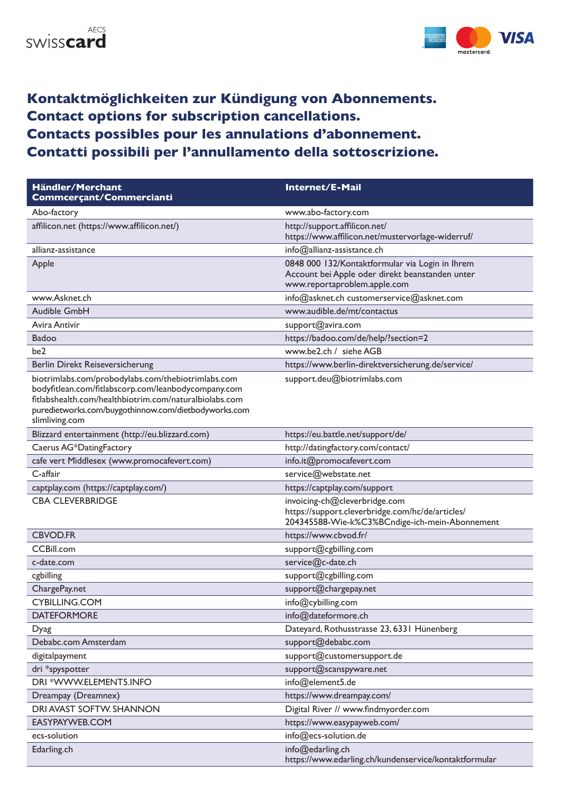



## **Kontaktmöglichkeiten zur Kündigung von Abonnements. Contact options for subscription cancellations. Contacts possibles pour les annulations d'abonnement. Contatti possibili per l'annullamento della sottoscrizione.**

| Händler/Merchant<br>Commcerçant/Commercianti                                                                                                                                                                                                  | Internet/E-Mail                                                                                                                     |
|-----------------------------------------------------------------------------------------------------------------------------------------------------------------------------------------------------------------------------------------------|-------------------------------------------------------------------------------------------------------------------------------------|
| Abo-factory                                                                                                                                                                                                                                   | www.abo-factory.com                                                                                                                 |
| affilicon.net (https://www.affilicon.net/)                                                                                                                                                                                                    | http://support.affilicon.net/<br>https://www.affilicon.net/mustervorlage-widerruf/                                                  |
| allianz-assistance                                                                                                                                                                                                                            | info@allianz-assistance.ch                                                                                                          |
| Apple                                                                                                                                                                                                                                         | 0848 000 132/Kontaktformular via Login in Ihrem<br>Account bei Apple oder direkt beanstanden unter<br>www.reportaproblem.apple.com  |
| www.Asknet.ch                                                                                                                                                                                                                                 | info@asknet.ch customerservice@asknet.com                                                                                           |
| Audible GmbH                                                                                                                                                                                                                                  | www.audible.de/mt/contactus                                                                                                         |
| Avira Antivir                                                                                                                                                                                                                                 | support@avira.com                                                                                                                   |
| Badoo                                                                                                                                                                                                                                         | https://badoo.com/de/help/?section=2                                                                                                |
| be2                                                                                                                                                                                                                                           | www.be2.ch / siehe AGB                                                                                                              |
| Berlin Direkt Reiseversicherung                                                                                                                                                                                                               | https://www.berlin-direktversicherung.de/service/                                                                                   |
| biotrimlabs.com/probodylabs.com/thebiotrimlabs.com<br>bodyfitlean.com/fitlabscorp.com/leanbodycompany.com<br>fitlabshealth.com/healthbiotrim.com/naturalbiolabs.com<br>puredietworks.com/buygothinnow.com/dietbodyworks.com<br>slimliving.com | support.deu@biotrimlabs.com                                                                                                         |
| Blizzard entertainment (http://eu.blizzard.com)                                                                                                                                                                                               | https://eu.battle.net/support/de/                                                                                                   |
| Caerus AG*DatingFactory                                                                                                                                                                                                                       | http://datingfactory.com/contact/                                                                                                   |
| cafe vert Middlesex (www.promocafevert.com)                                                                                                                                                                                                   | info.it@promocafevert.com                                                                                                           |
| C-affair                                                                                                                                                                                                                                      | service@webstate.net                                                                                                                |
| captplay.com (https://captplay.com/)                                                                                                                                                                                                          | https://captplay.com/support                                                                                                        |
| <b>CBA CLEVERBRIDGE</b>                                                                                                                                                                                                                       | invoicing-ch@cleverbridge.com<br>https://support.cleverbridge.com/hc/de/articles/<br>204345588-Wie-k%C3%BCndige-ich-mein-Abonnement |
| <b>CBVOD.FR</b>                                                                                                                                                                                                                               | https://www.cbvod.fr/                                                                                                               |
| <b>CCBill.com</b>                                                                                                                                                                                                                             | support@cgbilling.com                                                                                                               |
| c-date.com                                                                                                                                                                                                                                    | service@c-date.ch                                                                                                                   |
| cgbilling                                                                                                                                                                                                                                     | support@cgbilling.com                                                                                                               |
| ChargePay.net                                                                                                                                                                                                                                 | support@chargepay.net                                                                                                               |
| CYBILLING.COM                                                                                                                                                                                                                                 | info@cybilling.com                                                                                                                  |
| <b>DATEFORMORE</b>                                                                                                                                                                                                                            | info@dateformore.ch                                                                                                                 |
| Dyag                                                                                                                                                                                                                                          | Dateyard, Rothusstrasse 23, 6331 Hünenberg                                                                                          |
| Debabc.com Amsterdam                                                                                                                                                                                                                          | support@debabc.com                                                                                                                  |
| digitalpayment                                                                                                                                                                                                                                | support@customersupport.de                                                                                                          |
| dri *spyspotter                                                                                                                                                                                                                               | support@scanspyware.net                                                                                                             |
| DRI *WWW.ELEMENT5.INFO                                                                                                                                                                                                                        | info@element5.de                                                                                                                    |
| Dreampay (Dreamnex)                                                                                                                                                                                                                           | https://www.dreampay.com/                                                                                                           |
| DRI AVAST SOFTW. SHANNON                                                                                                                                                                                                                      | Digital River // www.findmyorder.com                                                                                                |
| EASYPAYWEB.COM                                                                                                                                                                                                                                | https://www.easypayweb.com/                                                                                                         |
| ecs-solution                                                                                                                                                                                                                                  | info@ecs-solution.de                                                                                                                |
| Edarling.ch                                                                                                                                                                                                                                   | info@edarling.ch<br>https://www.edarling.ch/kundenservice/kontaktformular                                                           |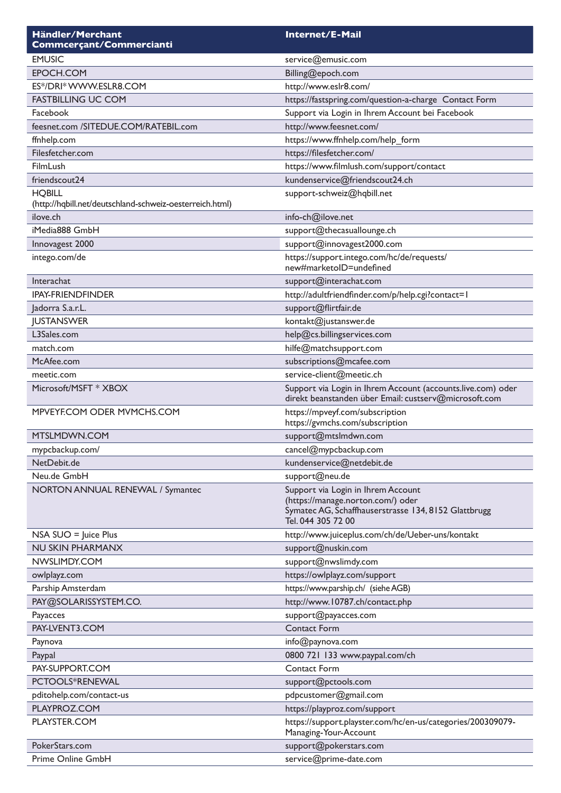| Händler/Merchant<br>Commcerçant/Commercianti             | Internet/E-Mail                                                                                                                                       |
|----------------------------------------------------------|-------------------------------------------------------------------------------------------------------------------------------------------------------|
| <b>EMUSIC</b>                                            | service@emusic.com                                                                                                                                    |
| EPOCH.COM                                                | Billing@epoch.com                                                                                                                                     |
| ES*/DRI* WWW.ESLR8.COM                                   | http://www.eslr8.com/                                                                                                                                 |
| <b>FASTBILLING UC COM</b>                                | https://fastspring.com/question-a-charge Contact Form                                                                                                 |
| Facebook                                                 | Support via Login in Ihrem Account bei Facebook                                                                                                       |
| feesnet.com /SITEDUE.COM/RATEBIL.com                     | http://www.feesnet.com/                                                                                                                               |
| ffnhelp.com                                              | https://www.ffnhelp.com/help_form                                                                                                                     |
| Filesfetcher.com                                         | https://filesfetcher.com/                                                                                                                             |
| FilmLush                                                 | https://www.filmlush.com/support/contact                                                                                                              |
| friendscout24                                            | kundenservice@friendscout24.ch                                                                                                                        |
| <b>HQBILL</b>                                            | support-schweiz@hqbill.net                                                                                                                            |
| (http://hqbill.net/deutschland-schweiz-oesterreich.html) |                                                                                                                                                       |
| ilove.ch                                                 | info-ch@ilove.net                                                                                                                                     |
| iMedia888 GmbH                                           | support@thecasuallounge.ch                                                                                                                            |
| Innovagest 2000                                          | support@innovagest2000.com                                                                                                                            |
| intego.com/de                                            | https://support.intego.com/hc/de/requests/<br>new#marketoID=undefined                                                                                 |
| Interachat                                               | support@interachat.com                                                                                                                                |
| <b>IPAY-FRIENDFINDER</b>                                 | http://adultfriendfinder.com/p/help.cgi?contact=1                                                                                                     |
| Jadorra S.a.r.L.                                         | support@flirtfair.de                                                                                                                                  |
| <b>JUSTANSWER</b>                                        | kontakt@justanswer.de                                                                                                                                 |
| L3Sales.com                                              | help@cs.billingservices.com                                                                                                                           |
| match.com                                                | hilfe@matchsupport.com                                                                                                                                |
| McAfee.com                                               | subscriptions@mcafee.com                                                                                                                              |
| meetic.com                                               | service-client@meetic.ch                                                                                                                              |
| Microsoft/MSFT * XBOX                                    | Support via Login in Ihrem Account (accounts.live.com) oder<br>direkt beanstanden über Email: custserv@microsoft.com                                  |
| MPVEYF.COM ODER MVMCHS.COM                               | https://mpveyf.com/subscription<br>https://gvmchs.com/subscription                                                                                    |
| MTSLMDWN.COM                                             | support@mtslmdwn.com                                                                                                                                  |
| mypcbackup.com/                                          | cancel@mypcbackup.com                                                                                                                                 |
| NetDebit.de                                              | kundenservice@netdebit.de                                                                                                                             |
| Neu.de GmbH                                              | support@neu.de                                                                                                                                        |
| NORTON ANNUAL RENEWAL / Symantec                         | Support via Login in Ihrem Account<br>(https://manage.norton.com/) oder<br>Symatec AG, Schaffhauserstrasse 134, 8152 Glattbrugg<br>Tel. 044 305 72 00 |
| $NSA$ SUO = Juice Plus                                   | http://www.juiceplus.com/ch/de/Ueber-uns/kontakt                                                                                                      |
| NU SKIN PHARMANX                                         | support@nuskin.com                                                                                                                                    |
| NWSLIMDY.COM                                             | support@nwslimdy.com                                                                                                                                  |
| owlplayz.com                                             | https://owlplayz.com/support                                                                                                                          |
| Parship Amsterdam                                        | https://www.parship.ch/ (siehe AGB)                                                                                                                   |
| PAY@SOLARISSYSTEM.CO.                                    | http://www.10787.ch/contact.php                                                                                                                       |
| Payacces                                                 | support@payacces.com                                                                                                                                  |
| PAY-LVENT3.COM                                           | <b>Contact Form</b>                                                                                                                                   |
| Paynova                                                  | info@paynova.com                                                                                                                                      |
| Paypal                                                   | 0800 721 133 www.paypal.com/ch                                                                                                                        |
| PAY-SUPPORT.COM                                          | <b>Contact Form</b>                                                                                                                                   |
| PCTOOLS*RENEWAL                                          | support@pctools.com                                                                                                                                   |
| pditohelp.com/contact-us                                 | pdpcustomer@gmail.com                                                                                                                                 |
| PLAYPROZ.COM                                             | https://playproz.com/support                                                                                                                          |
| PLAYSTER.COM                                             | https://support.playster.com/hc/en-us/categories/200309079-<br>Managing-Your-Account                                                                  |
| PokerStars.com                                           | support@pokerstars.com                                                                                                                                |
| Prime Online GmbH                                        | service@prime-date.com                                                                                                                                |
|                                                          |                                                                                                                                                       |